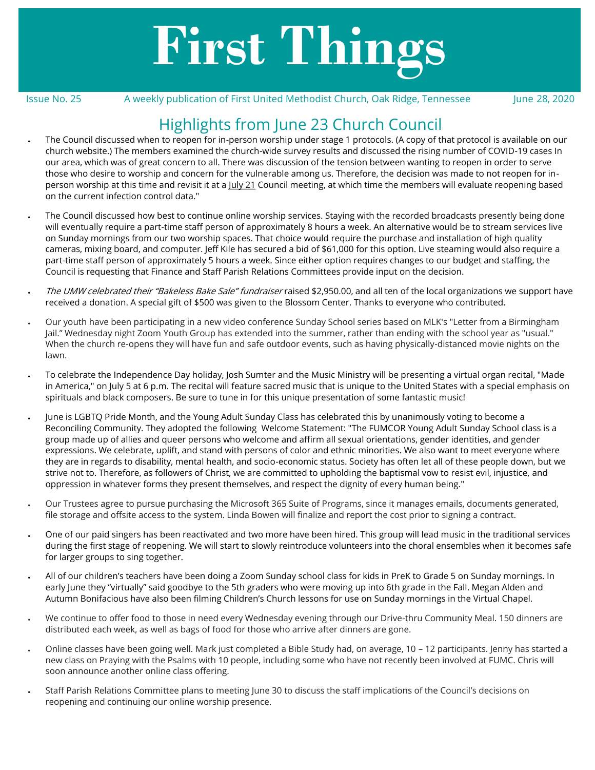# **First Things**

Issue No. 25 A weekly publication of First United Methodist Church, Oak Ridge, Tennessee June 28, 2020

# Highlights from June 23 Church Council

- The Council discussed when to reopen for in-person worship under stage 1 protocols. (A copy of that protocol is available on our church website.) The members examined the church-wide survey results and discussed the rising number of COVID-19 cases In our area, which was of great concern to all. There was discussion of the tension between wanting to reopen in order to serve those who desire to worship and concern for the vulnerable among us. Therefore, the decision was made to not reopen for inperson worship at this time and revisit it at a July 21 Council meeting, at which time the members will evaluate reopening based on the current infection control data."
- The Council discussed how best to continue online worship services. Staying with the recorded broadcasts presently being done will eventually require a part-time staff person of approximately 8 hours a week. An alternative would be to stream services live on Sunday mornings from our two worship spaces. That choice would require the purchase and installation of high quality cameras, mixing board, and computer. Jeff Kile has secured a bid of \$61,000 for this option. Live steaming would also require a part-time staff person of approximately 5 hours a week. Since either option requires changes to our budget and staffing, the Council is requesting that Finance and Staff Parish Relations Committees provide input on the decision.
- The UMW celebrated their "Bakeless Bake Sale" fundraiser raised \$2,950.00, and all ten of the local organizations we support have received a donation. A special gift of \$500 was given to the Blossom Center. Thanks to everyone who contributed.
- Our youth have been participating in a new video conference Sunday School series based on MLK's "Letter from a Birmingham Jail." Wednesday night Zoom Youth Group has extended into the summer, rather than ending with the school year as "usual." When the church re-opens they will have fun and safe outdoor events, such as having physically-distanced movie nights on the lawn.
- To celebrate the Independence Day holiday, Josh Sumter and the Music Ministry will be presenting a virtual organ recital, "Made in America," on July 5 at 6 p.m. The recital will feature sacred music that is unique to the United States with a special emphasis on spirituals and black composers. Be sure to tune in for this unique presentation of some fantastic music!
- June is LGBTQ Pride Month, and the Young Adult Sunday Class has celebrated this by unanimously voting to become a Reconciling Community. They adopted the following Welcome Statement: "The FUMCOR Young Adult Sunday School class is a group made up of allies and queer persons who welcome and affirm all sexual orientations, gender identities, and gender expressions. We celebrate, uplift, and stand with persons of color and ethnic minorities. We also want to meet everyone where they are in regards to disability, mental health, and socio-economic status. Society has often let all of these people down, but we strive not to. Therefore, as followers of Christ, we are committed to upholding the baptismal vow to resist evil, injustice, and oppression in whatever forms they present themselves, and respect the dignity of every human being."
- Our Trustees agree to pursue purchasing the Microsoft 365 Suite of Programs, since it manages emails, documents generated, file storage and offsite access to the system. Linda Bowen will finalize and report the cost prior to signing a contract.
- One of our paid singers has been reactivated and two more have been hired. This group will lead music in the traditional services during the first stage of reopening. We will start to slowly reintroduce volunteers into the choral ensembles when it becomes safe for larger groups to sing together.
- All of our children's teachers have been doing a Zoom Sunday school class for kids in PreK to Grade 5 on Sunday mornings. In early June they "virtually" said goodbye to the 5th graders who were moving up into 6th grade in the Fall. Megan Alden and Autumn Bonifacious have also been filming Children's Church lessons for use on Sunday mornings in the Virtual Chapel.
- We continue to offer food to those in need every Wednesday evening through our Drive-thru Community Meal. 150 dinners are distributed each week, as well as bags of food for those who arrive after dinners are gone.
- Online classes have been going well. Mark just completed a Bible Study had, on average, 10 12 participants. Jenny has started a new class on Praying with the Psalms with 10 people, including some who have not recently been involved at FUMC. Chris will soon announce another online class offering.
- Staff Parish Relations Committee plans to meeting June 30 to discuss the staff implications of the Council's decisions on reopening and continuing our online worship presence.